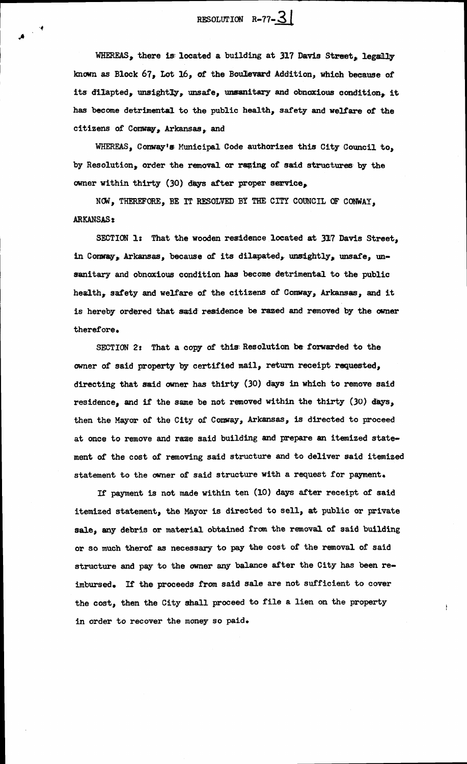RESOLUTION  $R-77-\underline{3}$ 

WHEREAS, there is located a building at 317 Davis Street. legally known as Block 67, Lot 16, of the Boulevard Addition, which because of its dilapted, unsightly, unsafe, unsanitary and obnoxious condition, it has become detrimental to the public health, safety and welfare of the citizens of Conway, Arkansas, and

WHEREAS, Conway's Municipal Code authorizes this City Council to, by Resolution, order the removal or razing of said structures by the owner within thirty (30) days after proper service,

NOW, THEREFORE, BE IT RESOLVED BY THE CITY COUNCIL OF CONWAY, **ARKANSAS:** 

SECTION 1: That the wooden residence located at 317 Davis Street, in Conway, Arkansas, because of its dilapated, unsightly, unsafe, unsanitary and obnoxious condition has become detrimental to the public health, safety and welfare of the citizens of Conway, Arkansas, and it is hereby ordered that said residence be razed and removed by the owner therefore.

SECTION 2: That a copy of this Resolution be forwarded to the owner of said property by certified mail, return receipt requested, directing that said owner has thirty (30) days in which to remove said residence, and if the same be not removed within the thirty (30) days, then the Mayor of the City of Conway, Arkansas, is directed to proceed at once to remove and raze said building and prepare an itemized statement of the cost of removing said structure and to deliver said itemized statement to the owner of said structure with a request for payment.

If payment is not made within ten (10) days after receipt of said itemized statement, the Mayor is directed to sell, at public or private sale, any debris or material obtained from the removal of said building or so much therof as necessary to pay the cost of the removal of said structure and pay to the owner any balance after the City has been reimbursed. If the proceeds from said sale are not sufficient to cover the cost, then the City shall proceed to file a lien on the property in order to recover the money so paid.